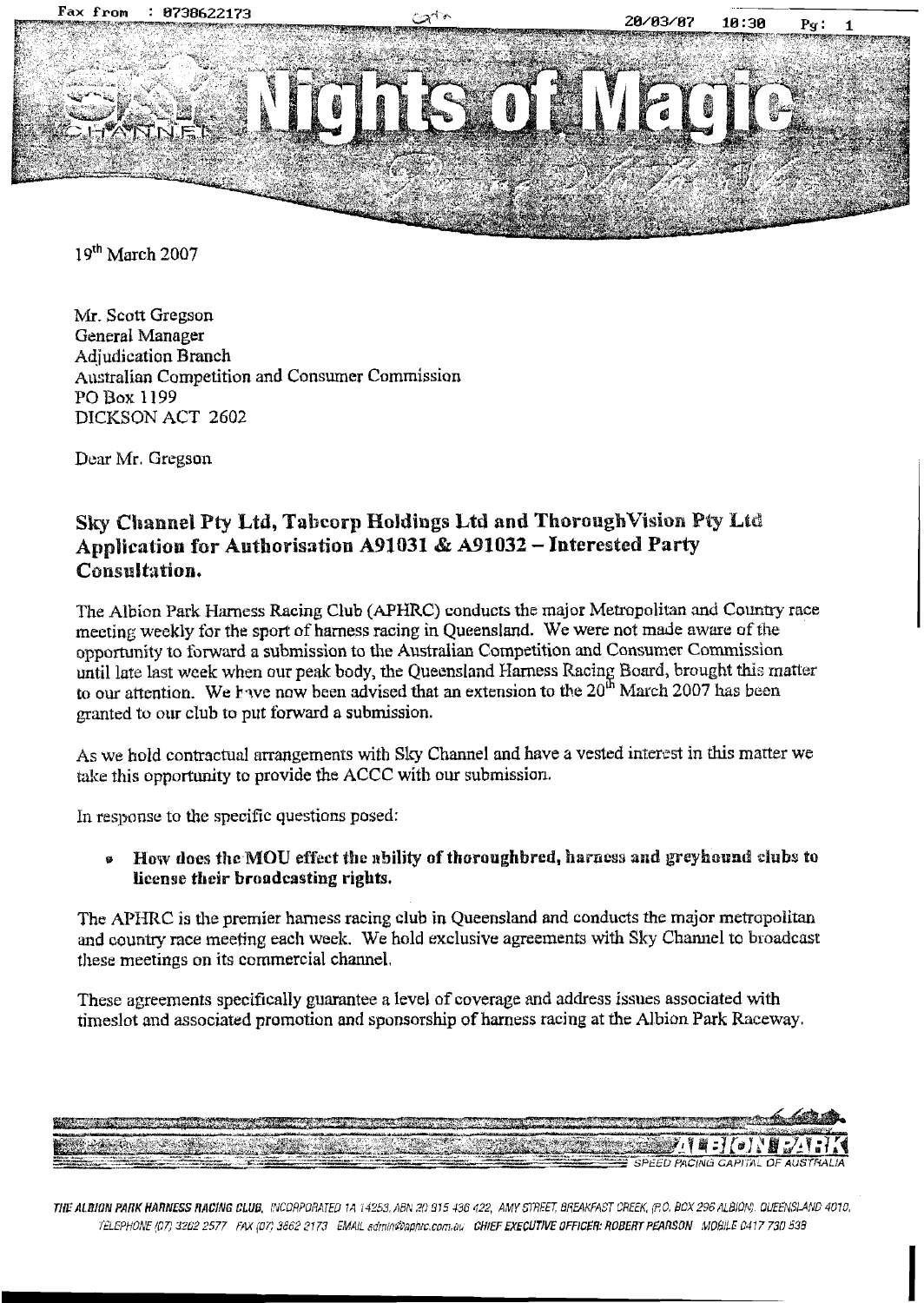

19th March 2007

Mr. Scott Gregson General Manager **Adiudication Branch** Australian Competition and Consumer Commission PO Box 1199 DICKSON ACT 2602

Dear Mr. Gregson

## Sky Channel Pty Ltd, Tabcorp Holdings Ltd and Thorough Vision Pty Ltd Application for Authorisation A91031 & A91032 - Interested Party Consultation.

The Albion Park Harness Racing Club (APHRC) conducts the major Metropolitan and Country race meeting weekly for the sport of harness racing in Queensland. We were not made aware of the opportunity to forward a submission to the Australian Competition and Consumer Commission until late last week when our peak body, the Queensland Harness Racing Board, brought this matter to our attention. We have now been advised that an extension to the 20<sup>th</sup> March 2007 has been granted to our club to put forward a submission.

As we hold contractual arrangements with Sky Channel and have a vested interest in this matter we take this opportunity to provide the ACCC with our submission.

In response to the specific questions posed:

How does the MOU effect the ability of thoroughbred, harness and greyhound clubs to  $\bullet$ license their broadcasting rights.

The APHRC is the premier hamess racing club in Queensland and conducts the major metropolitan and country race meeting each week. We hold exclusive agreements with Sky Channel to broadcast these meetings on its commercial channel.

These agreements specifically guarantee a level of coverage and address issues associated with timeslot and associated promotion and sponsorship of harness racing at the Albion Park Raceway.

THE ALBION PARK HARNESS RACING CLUB, INCORPORATED 1A 14253, ABN 20 915 436 422, AMY STREET, BREAKFAST CREEK, (P.O. BOX 296 ALBION). QUEENSLAND 4010, TELEPHONE (07) 3202 2577 FAX (07) 3662 2173 EMAIL admin@aphr.com.au CHIEF EXECUTIVE OFFICER: ROBERT PEARSON MOBILE 0417 730 538

■■ SPEED PACING CAPITAL OF